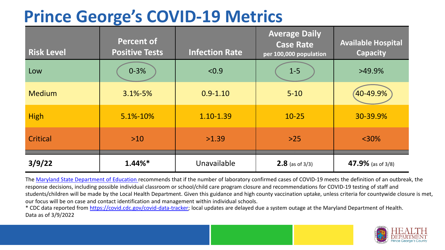## **Prince George's COVID-19 Metrics**

| <b>Risk Level</b> | <b>Percent of</b><br><b>Positive Tests</b> | <b>Infection Rate</b> | <b>Average Daily</b><br><b>Case Rate</b><br>per 100,000 population | <b>Available Hospital</b><br><b>Capacity</b> |
|-------------------|--------------------------------------------|-----------------------|--------------------------------------------------------------------|----------------------------------------------|
| Low               | $0 - 3%$                                   | < 0.9                 | $1-5$                                                              | >49.9%                                       |
| <b>Medium</b>     | $3.1\% - 5\%$                              | $0.9 - 1.10$          | $5 - 10$                                                           | 40-49.9%                                     |
| <b>High</b>       | 5.1%-10%                                   | 1.10-1.39             | $10 - 25$                                                          | 30-39.9%                                     |
| Critical          | $>10$                                      | >1.39                 | $>25$                                                              | $< 30\%$                                     |
| 3/9/22            | $1.44\%*$                                  | Unavailable           | <b>2.8</b> (as of $3/3$ )                                          | 47.9% (as of 3/8)                            |

The [Maryland State Department of Education](https://earlychildhood.marylandpublicschools.org/system/files/filedepot/3/covid_guidance_full_080420.pdf) recommends that if the number of laboratory confirmed cases of COVID-19 meets the definition of an outbreak, the response decisions, including possible individual classroom or school/child care program closure and recommendations for COVID-19 testing of staff and students/children will be made by the Local Health Department. Given this guidance and high county vaccination uptake, unless criteria for countywide closure is met, our focus will be on case and contact identification and management within individual schools.

\* CDC data reported from <https://covid.cdc.gov/covid-data-tracker>; local updates are delayed due a system outage at the Maryland Department of Health. Data as of 3/9/2022

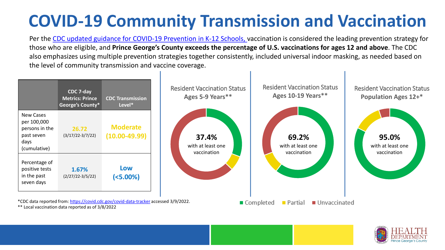# **COVID-19 Community Transmission and Vaccination**

Per the [CDC updated guidance for COVID-19 Prevention in K-12 Schools,](https://www.cdc.gov/coronavirus/2019-ncov/community/schools-childcare/k-12-guidance.html) vaccination is considered the leading prevention strategy for those who are eligible, and **Prince George's County exceeds the percentage of U.S. vaccinations for ages 12 and above**. The CDC also emphasizes using multiple prevention strategies together consistently, included universal indoor masking, as needed based on the level of community transmission and vaccine coverage.



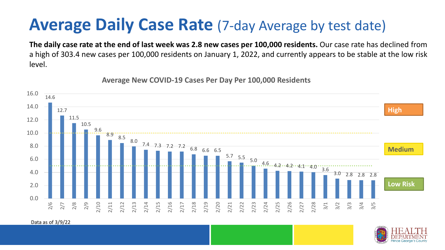### **Average Daily Case Rate** (7-day Average by test date)

**The daily case rate at the end of last week was 2.8 new cases per 100,000 residents.** Our case rate has declined from a high of 303.4 new cases per 100,000 residents on January 1, 2022, and currently appears to be stable at the low risk level.

14.6 12.7 11.5 10.5 9.6 8.9 8.5 8.0 7.4 7.3 7.2 7.2 6.8 6.6 6.5  $5.7$   $5.5$   $5.0$   $4.6$   $4.2$   $4.2$   $4.1$   $4.0$   $3.6$ 3.0 2.8 2.8 2.8 0.0 2.0 4.0 6.0 8.0 10.0 12.0 14.0 16.0 2/6 2/7 2/8 2/9 2/10 2/11 2/12 2/13 2/14 2/15 2/16 2/17 2/18 2/19 2/20 2/21 2/22 2/23 2/24 2/25 2/26 2/27 2/28 3/1 3/2 3/3 3/4 3/5 **Low Risk Medium High**

**Average New COVID-19 Cases Per Day Per 100,000 Residents**

#### Data as of 3/9/22